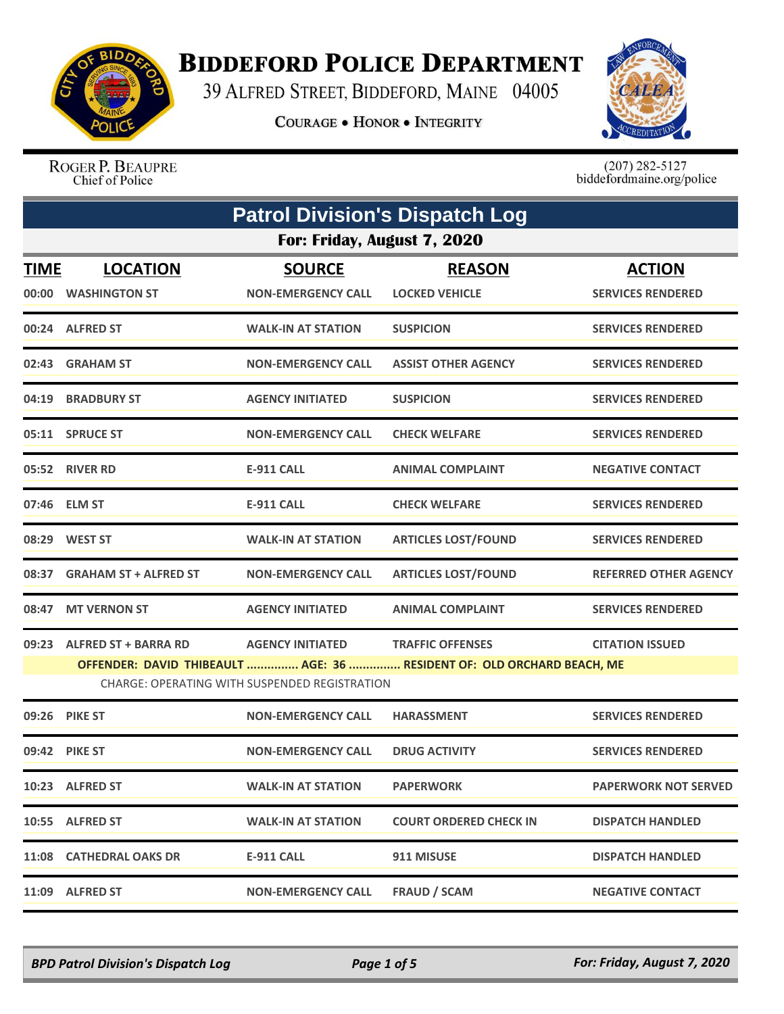

## **BIDDEFORD POLICE DEPARTMENT**

39 ALFRED STREET, BIDDEFORD, MAINE 04005

**COURAGE . HONOR . INTEGRITY** 



ROGER P. BEAUPRE Chief of Police

 $(207)$  282-5127<br>biddefordmaine.org/police

| <b>Patrol Division's Dispatch Log</b> |                                                                                                                         |                                            |                                        |                                           |  |  |
|---------------------------------------|-------------------------------------------------------------------------------------------------------------------------|--------------------------------------------|----------------------------------------|-------------------------------------------|--|--|
|                                       | For: Friday, August 7, 2020                                                                                             |                                            |                                        |                                           |  |  |
| <b>TIME</b>                           | <b>LOCATION</b><br>00:00 WASHINGTON ST                                                                                  | <b>SOURCE</b><br><b>NON-EMERGENCY CALL</b> | <b>REASON</b><br><b>LOCKED VEHICLE</b> | <b>ACTION</b><br><b>SERVICES RENDERED</b> |  |  |
|                                       | 00:24 ALFRED ST                                                                                                         | <b>WALK-IN AT STATION</b>                  | <b>SUSPICION</b>                       | <b>SERVICES RENDERED</b>                  |  |  |
| 02:43                                 | <b>GRAHAM ST</b>                                                                                                        | <b>NON-EMERGENCY CALL</b>                  | <b>ASSIST OTHER AGENCY</b>             | <b>SERVICES RENDERED</b>                  |  |  |
|                                       | 04:19 BRADBURY ST                                                                                                       | <b>AGENCY INITIATED</b>                    | <b>SUSPICION</b>                       | <b>SERVICES RENDERED</b>                  |  |  |
|                                       | 05:11 SPRUCE ST                                                                                                         | <b>NON-EMERGENCY CALL</b>                  | <b>CHECK WELFARE</b>                   | <b>SERVICES RENDERED</b>                  |  |  |
|                                       | 05:52 RIVER RD                                                                                                          | <b>E-911 CALL</b>                          | <b>ANIMAL COMPLAINT</b>                | <b>NEGATIVE CONTACT</b>                   |  |  |
|                                       | 07:46 ELM ST                                                                                                            | <b>E-911 CALL</b>                          | <b>CHECK WELFARE</b>                   | <b>SERVICES RENDERED</b>                  |  |  |
|                                       | 08:29 WEST ST                                                                                                           | <b>WALK-IN AT STATION</b>                  | <b>ARTICLES LOST/FOUND</b>             | <b>SERVICES RENDERED</b>                  |  |  |
|                                       | 08:37 GRAHAM ST + ALFRED ST                                                                                             | <b>NON-EMERGENCY CALL</b>                  | <b>ARTICLES LOST/FOUND</b>             | <b>REFERRED OTHER AGENCY</b>              |  |  |
| 08:47                                 | <b>MT VERNON ST</b>                                                                                                     | <b>AGENCY INITIATED</b>                    | <b>ANIMAL COMPLAINT</b>                | <b>SERVICES RENDERED</b>                  |  |  |
| 09:23                                 | <b>ALFRED ST + BARRA RD</b>                                                                                             | <b>AGENCY INITIATED</b>                    | <b>TRAFFIC OFFENSES</b>                | <b>CITATION ISSUED</b>                    |  |  |
|                                       | OFFENDER: DAVID THIBEAULT  AGE: 36  RESIDENT OF: OLD ORCHARD BEACH, ME<br>CHARGE: OPERATING WITH SUSPENDED REGISTRATION |                                            |                                        |                                           |  |  |
|                                       | 09:26 PIKE ST                                                                                                           | <b>NON-EMERGENCY CALL</b>                  | <b>HARASSMENT</b>                      | <b>SERVICES RENDERED</b>                  |  |  |
|                                       | 09:42 PIKE ST                                                                                                           | <b>NON-EMERGENCY CALL</b>                  | <b>DRUG ACTIVITY</b>                   | <b>SERVICES RENDERED</b>                  |  |  |
|                                       | 10:23 ALFRED ST                                                                                                         | <b>WALK-IN AT STATION</b>                  | <b>PAPERWORK</b>                       | <b>PAPERWORK NOT SERVED</b>               |  |  |
|                                       | 10:55 ALFRED ST                                                                                                         | <b>WALK-IN AT STATION</b>                  | <b>COURT ORDERED CHECK IN</b>          | <b>DISPATCH HANDLED</b>                   |  |  |
|                                       | 11:08 CATHEDRAL OAKS DR                                                                                                 | E-911 CALL                                 | 911 MISUSE                             | <b>DISPATCH HANDLED</b>                   |  |  |
|                                       | 11:09 ALFRED ST                                                                                                         | <b>NON-EMERGENCY CALL</b>                  | <b>FRAUD / SCAM</b>                    | <b>NEGATIVE CONTACT</b>                   |  |  |

*BPD Patrol Division's Dispatch Log Page 1 of 5 For: Friday, August 7, 2020*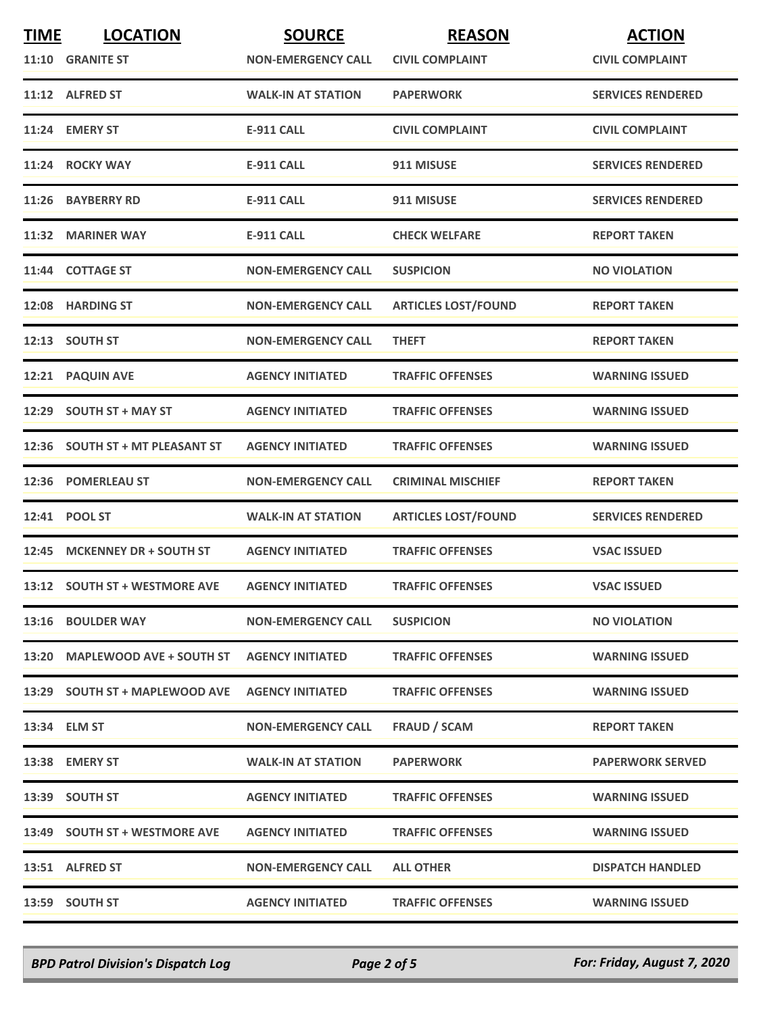| <b>TIME</b> | <b>LOCATION</b>                 | <b>SOURCE</b>             | <b>REASON</b>              | <b>ACTION</b>            |
|-------------|---------------------------------|---------------------------|----------------------------|--------------------------|
|             | 11:10 GRANITE ST                | <b>NON-EMERGENCY CALL</b> | <b>CIVIL COMPLAINT</b>     | <b>CIVIL COMPLAINT</b>   |
|             | 11:12 ALFRED ST                 | <b>WALK-IN AT STATION</b> | <b>PAPERWORK</b>           | <b>SERVICES RENDERED</b> |
|             | 11:24 EMERY ST                  | <b>E-911 CALL</b>         | <b>CIVIL COMPLAINT</b>     | <b>CIVIL COMPLAINT</b>   |
|             | 11:24 ROCKY WAY                 | <b>E-911 CALL</b>         | 911 MISUSE                 | <b>SERVICES RENDERED</b> |
|             | 11:26 BAYBERRY RD               | <b>E-911 CALL</b>         | 911 MISUSE                 | <b>SERVICES RENDERED</b> |
|             | 11:32 MARINER WAY               | <b>E-911 CALL</b>         | <b>CHECK WELFARE</b>       | <b>REPORT TAKEN</b>      |
|             | 11:44 COTTAGE ST                | <b>NON-EMERGENCY CALL</b> | <b>SUSPICION</b>           | <b>NO VIOLATION</b>      |
|             | 12:08 HARDING ST                | <b>NON-EMERGENCY CALL</b> | <b>ARTICLES LOST/FOUND</b> | <b>REPORT TAKEN</b>      |
|             | 12:13 SOUTH ST                  | <b>NON-EMERGENCY CALL</b> | <b>THEFT</b>               | <b>REPORT TAKEN</b>      |
|             | 12:21 PAQUIN AVE                | <b>AGENCY INITIATED</b>   | <b>TRAFFIC OFFENSES</b>    | <b>WARNING ISSUED</b>    |
|             | 12:29 SOUTH ST + MAY ST         | <b>AGENCY INITIATED</b>   | <b>TRAFFIC OFFENSES</b>    | <b>WARNING ISSUED</b>    |
|             | 12:36 SOUTH ST + MT PLEASANT ST | <b>AGENCY INITIATED</b>   | <b>TRAFFIC OFFENSES</b>    | <b>WARNING ISSUED</b>    |
|             | 12:36 POMERLEAU ST              | <b>NON-EMERGENCY CALL</b> | <b>CRIMINAL MISCHIEF</b>   | <b>REPORT TAKEN</b>      |
|             | 12:41 POOL ST                   | <b>WALK-IN AT STATION</b> | <b>ARTICLES LOST/FOUND</b> | <b>SERVICES RENDERED</b> |
|             | 12:45 MCKENNEY DR + SOUTH ST    | <b>AGENCY INITIATED</b>   | <b>TRAFFIC OFFENSES</b>    | <b>VSAC ISSUED</b>       |
|             | 13:12 SOUTH ST + WESTMORE AVE   | <b>AGENCY INITIATED</b>   | <b>TRAFFIC OFFENSES</b>    | <b>VSAC ISSUED</b>       |
|             | <b>13:16 BOULDER WAY</b>        | <b>NON-EMERGENCY CALL</b> | <b>SUSPICION</b>           | <b>NO VIOLATION</b>      |
|             | 13:20 MAPLEWOOD AVE + SOUTH ST  | <b>AGENCY INITIATED</b>   | <b>TRAFFIC OFFENSES</b>    | <b>WARNING ISSUED</b>    |
|             | 13:29 SOUTH ST + MAPLEWOOD AVE  | <b>AGENCY INITIATED</b>   | <b>TRAFFIC OFFENSES</b>    | <b>WARNING ISSUED</b>    |
|             | 13:34 ELM ST                    | <b>NON-EMERGENCY CALL</b> | <b>FRAUD / SCAM</b>        | <b>REPORT TAKEN</b>      |
|             | 13:38 EMERY ST                  | <b>WALK-IN AT STATION</b> | <b>PAPERWORK</b>           | <b>PAPERWORK SERVED</b>  |
|             | 13:39 SOUTH ST                  | <b>AGENCY INITIATED</b>   | <b>TRAFFIC OFFENSES</b>    | <b>WARNING ISSUED</b>    |
|             | 13:49 SOUTH ST + WESTMORE AVE   | <b>AGENCY INITIATED</b>   | <b>TRAFFIC OFFENSES</b>    | <b>WARNING ISSUED</b>    |
|             | 13:51 ALFRED ST                 | <b>NON-EMERGENCY CALL</b> | <b>ALL OTHER</b>           | <b>DISPATCH HANDLED</b>  |
|             | 13:59 SOUTH ST                  | <b>AGENCY INITIATED</b>   | <b>TRAFFIC OFFENSES</b>    | <b>WARNING ISSUED</b>    |

*BPD Patrol Division's Dispatch Log Page 2 of 5 For: Friday, August 7, 2020*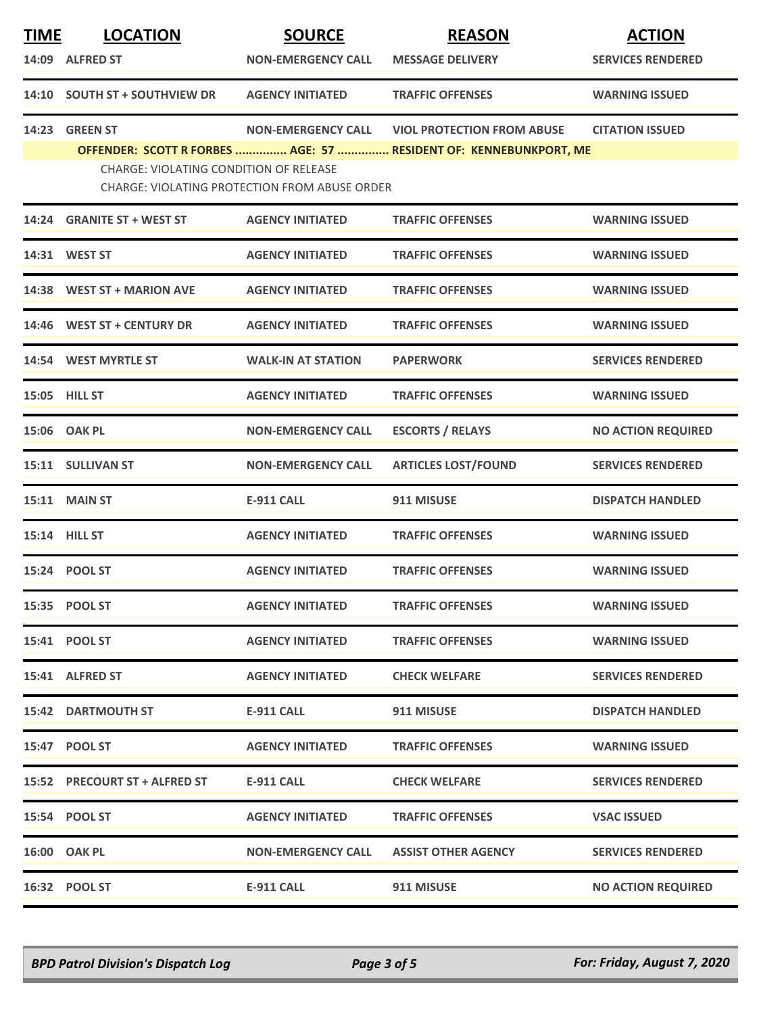| <b>TIME</b> | <b>LOCATION</b>                        | <b>SOURCE</b>                                        | <b>REASON</b>                                                                                          | <b>ACTION</b>             |
|-------------|----------------------------------------|------------------------------------------------------|--------------------------------------------------------------------------------------------------------|---------------------------|
|             | 14:09 ALFRED ST                        | <b>NON-EMERGENCY CALL</b>                            | <b>MESSAGE DELIVERY</b>                                                                                | <b>SERVICES RENDERED</b>  |
|             | 14:10 SOUTH ST + SOUTHVIEW DR          | <b>AGENCY INITIATED</b>                              | <b>TRAFFIC OFFENSES</b>                                                                                | <b>WARNING ISSUED</b>     |
|             | 14:23 GREEN ST                         | <b>NON-EMERGENCY CALL</b>                            | <b>VIOL PROTECTION FROM ABUSE</b><br>OFFENDER: SCOTT R FORBES  AGE: 57  RESIDENT OF: KENNEBUNKPORT, ME | <b>CITATION ISSUED</b>    |
|             | CHARGE: VIOLATING CONDITION OF RELEASE | <b>CHARGE: VIOLATING PROTECTION FROM ABUSE ORDER</b> |                                                                                                        |                           |
|             | 14:24 GRANITE ST + WEST ST             | <b>AGENCY INITIATED</b>                              | <b>TRAFFIC OFFENSES</b>                                                                                | <b>WARNING ISSUED</b>     |
|             | 14:31 WEST ST                          | <b>AGENCY INITIATED</b>                              | <b>TRAFFIC OFFENSES</b>                                                                                | <b>WARNING ISSUED</b>     |
|             | 14:38 WEST ST + MARION AVE             | <b>AGENCY INITIATED</b>                              | <b>TRAFFIC OFFENSES</b>                                                                                | <b>WARNING ISSUED</b>     |
|             | 14:46 WEST ST + CENTURY DR             | <b>AGENCY INITIATED</b>                              | <b>TRAFFIC OFFENSES</b>                                                                                | <b>WARNING ISSUED</b>     |
|             | 14:54 WEST MYRTLE ST                   | <b>WALK-IN AT STATION</b>                            | <b>PAPERWORK</b>                                                                                       | <b>SERVICES RENDERED</b>  |
|             | <b>15:05 HILL ST</b>                   | <b>AGENCY INITIATED</b>                              | <b>TRAFFIC OFFENSES</b>                                                                                | <b>WARNING ISSUED</b>     |
|             | 15:06 OAK PL                           | <b>NON-EMERGENCY CALL</b>                            | <b>ESCORTS / RELAYS</b>                                                                                | <b>NO ACTION REQUIRED</b> |
|             | 15:11 SULLIVAN ST                      | <b>NON-EMERGENCY CALL</b>                            | <b>ARTICLES LOST/FOUND</b>                                                                             | <b>SERVICES RENDERED</b>  |
|             | <b>15:11 MAIN ST</b>                   | <b>E-911 CALL</b>                                    | 911 MISUSE                                                                                             | <b>DISPATCH HANDLED</b>   |
|             | 15:14 HILL ST                          | <b>AGENCY INITIATED</b>                              | <b>TRAFFIC OFFENSES</b>                                                                                | <b>WARNING ISSUED</b>     |
|             | 15:24 POOL ST                          | <b>AGENCY INITIATED</b>                              | <b>TRAFFIC OFFENSES</b>                                                                                | <b>WARNING ISSUED</b>     |
|             | 15:35 POOL ST                          | <b>AGENCY INITIATED</b>                              | <b>TRAFFIC OFFENSES</b>                                                                                | <b>WARNING ISSUED</b>     |
|             | 15:41 POOL ST                          | <b>AGENCY INITIATED</b>                              | <b>TRAFFIC OFFENSES</b>                                                                                | <b>WARNING ISSUED</b>     |
|             | 15:41 ALFRED ST                        | <b>AGENCY INITIATED</b>                              | <b>CHECK WELFARE</b>                                                                                   | <b>SERVICES RENDERED</b>  |
|             | <b>15:42 DARTMOUTH ST</b>              | E-911 CALL                                           | 911 MISUSE                                                                                             | <b>DISPATCH HANDLED</b>   |
|             | 15:47 POOL ST                          | <b>AGENCY INITIATED</b>                              | <b>TRAFFIC OFFENSES</b>                                                                                | <b>WARNING ISSUED</b>     |
|             | 15:52 PRECOURT ST + ALFRED ST          | <b>E-911 CALL</b>                                    | <b>CHECK WELFARE</b>                                                                                   | <b>SERVICES RENDERED</b>  |
|             | 15:54 POOL ST                          | <b>AGENCY INITIATED</b>                              | <b>TRAFFIC OFFENSES</b>                                                                                | <b>VSAC ISSUED</b>        |
|             | 16:00 OAK PL                           | <b>NON-EMERGENCY CALL</b>                            | <b>ASSIST OTHER AGENCY</b>                                                                             | <b>SERVICES RENDERED</b>  |
|             | 16:32 POOL ST                          | <b>E-911 CALL</b>                                    | 911 MISUSE                                                                                             | <b>NO ACTION REQUIRED</b> |

*BPD Patrol Division's Dispatch Log Page 3 of 5 For: Friday, August 7, 2020*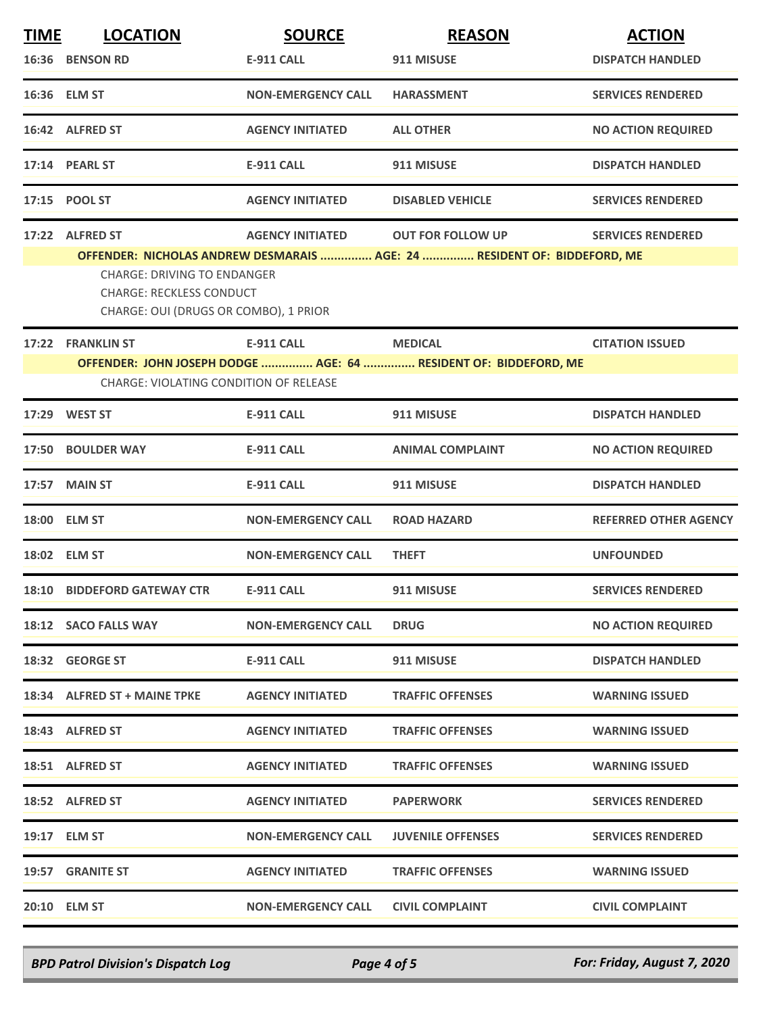| <b>TIME</b> | <b>LOCATION</b>                                                                                                | <b>SOURCE</b>             | <b>REASON</b>                                                            | <b>ACTION</b>                |
|-------------|----------------------------------------------------------------------------------------------------------------|---------------------------|--------------------------------------------------------------------------|------------------------------|
|             | 16:36 BENSON RD                                                                                                | <b>E-911 CALL</b>         | 911 MISUSE                                                               | <b>DISPATCH HANDLED</b>      |
|             | 16:36 ELM ST                                                                                                   | <b>NON-EMERGENCY CALL</b> | <b>HARASSMENT</b>                                                        | <b>SERVICES RENDERED</b>     |
|             | 16:42 ALFRED ST                                                                                                | <b>AGENCY INITIATED</b>   | <b>ALL OTHER</b>                                                         | <b>NO ACTION REQUIRED</b>    |
|             | 17:14 PEARL ST                                                                                                 | <b>E-911 CALL</b>         | 911 MISUSE                                                               | <b>DISPATCH HANDLED</b>      |
|             | 17:15 POOL ST                                                                                                  | <b>AGENCY INITIATED</b>   | <b>DISABLED VEHICLE</b>                                                  | <b>SERVICES RENDERED</b>     |
|             | 17:22 ALFRED ST                                                                                                | <b>AGENCY INITIATED</b>   | <b>OUT FOR FOLLOW UP</b>                                                 | <b>SERVICES RENDERED</b>     |
|             | <b>CHARGE: DRIVING TO ENDANGER</b><br><b>CHARGE: RECKLESS CONDUCT</b><br>CHARGE: OUI (DRUGS OR COMBO), 1 PRIOR |                           | OFFENDER: NICHOLAS ANDREW DESMARAIS  AGE: 24  RESIDENT OF: BIDDEFORD, ME |                              |
|             | 17:22 FRANKLIN ST                                                                                              | <b>E-911 CALL</b>         | <b>MEDICAL</b>                                                           | <b>CITATION ISSUED</b>       |
|             | <b>CHARGE: VIOLATING CONDITION OF RELEASE</b>                                                                  |                           | OFFENDER: JOHN JOSEPH DODGE  AGE: 64  RESIDENT OF: BIDDEFORD, ME         |                              |
|             |                                                                                                                |                           |                                                                          |                              |
|             | 17:29 WEST ST                                                                                                  | <b>E-911 CALL</b>         | 911 MISUSE                                                               | <b>DISPATCH HANDLED</b>      |
|             | 17:50 BOULDER WAY                                                                                              | <b>E-911 CALL</b>         | <b>ANIMAL COMPLAINT</b>                                                  | <b>NO ACTION REQUIRED</b>    |
|             | 17:57 MAIN ST                                                                                                  | <b>E-911 CALL</b>         | 911 MISUSE                                                               | <b>DISPATCH HANDLED</b>      |
|             | 18:00 ELM ST                                                                                                   | <b>NON-EMERGENCY CALL</b> | <b>ROAD HAZARD</b>                                                       | <b>REFERRED OTHER AGENCY</b> |
|             | 18:02 ELM ST                                                                                                   | <b>NON-EMERGENCY CALL</b> | <b>THEFT</b>                                                             | <b>UNFOUNDED</b>             |
|             | 18:10 BIDDEFORD GATEWAY CTR                                                                                    | <b>E-911 CALL</b>         | 911 MISUSE                                                               | <b>SERVICES RENDERED</b>     |
|             | 18:12 SACO FALLS WAY                                                                                           | <b>NON-EMERGENCY CALL</b> | <b>DRUG</b>                                                              | <b>NO ACTION REQUIRED</b>    |
|             | 18:32 GEORGE ST                                                                                                | E-911 CALL                | 911 MISUSE                                                               | <b>DISPATCH HANDLED</b>      |
|             | 18:34 ALFRED ST + MAINE TPKE                                                                                   | <b>AGENCY INITIATED</b>   | <b>TRAFFIC OFFENSES</b>                                                  | <b>WARNING ISSUED</b>        |
|             | 18:43 ALFRED ST                                                                                                | <b>AGENCY INITIATED</b>   | <b>TRAFFIC OFFENSES</b>                                                  | <b>WARNING ISSUED</b>        |
|             | 18:51 ALFRED ST                                                                                                | <b>AGENCY INITIATED</b>   | <b>TRAFFIC OFFENSES</b>                                                  | <b>WARNING ISSUED</b>        |
|             | 18:52 ALFRED ST                                                                                                | <b>AGENCY INITIATED</b>   | <b>PAPERWORK</b>                                                         | <b>SERVICES RENDERED</b>     |
|             | 19:17 ELM ST                                                                                                   | <b>NON-EMERGENCY CALL</b> | <b>JUVENILE OFFENSES</b>                                                 | <b>SERVICES RENDERED</b>     |
|             | 19:57 GRANITE ST                                                                                               | <b>AGENCY INITIATED</b>   | <b>TRAFFIC OFFENSES</b>                                                  | <b>WARNING ISSUED</b>        |
|             | 20:10 ELM ST                                                                                                   | <b>NON-EMERGENCY CALL</b> | <b>CIVIL COMPLAINT</b>                                                   | <b>CIVIL COMPLAINT</b>       |

*BPD Patrol Division's Dispatch Log Page 4 of 5 For: Friday, August 7, 2020*